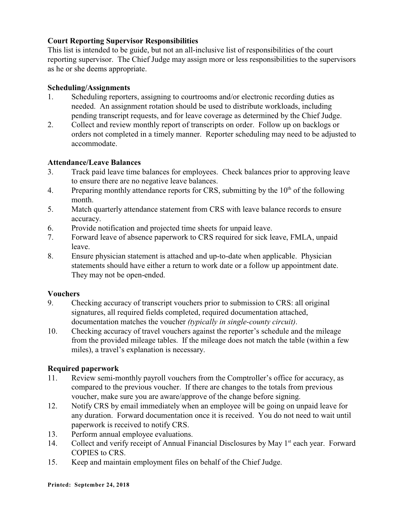## **Court Reporting Supervisor Responsibilities**

This list is intended to be guide, but not an all-inclusive list of responsibilities of the court reporting supervisor. The Chief Judge may assign more or less responsibilities to the supervisors as he or she deems appropriate.

#### **Scheduling/Assignments**

- 1. Scheduling reporters, assigning to courtrooms and/or electronic recording duties as needed. An assignment rotation should be used to distribute workloads, including pending transcript requests, and for leave coverage as determined by the Chief Judge.
- 2. Collect and review monthly report of transcripts on order. Follow up on backlogs or orders not completed in a timely manner. Reporter scheduling may need to be adjusted to accommodate.

#### **Attendance/Leave Balances**

- 3. Track paid leave time balances for employees. Check balances prior to approving leave to ensure there are no negative leave balances.
- 4. Preparing monthly attendance reports for CRS, submitting by the  $10<sup>th</sup>$  of the following month.
- 5. Match quarterly attendance statement from CRS with leave balance records to ensure accuracy.
- 6. Provide notification and projected time sheets for unpaid leave.
- 7. Forward leave of absence paperwork to CRS required for sick leave, FMLA, unpaid leave.
- 8. Ensure physician statement is attached and up-to-date when applicable. Physician statements should have either a return to work date or a follow up appointment date. They may not be open-ended.

#### **Vouchers**

- 9. Checking accuracy of transcript vouchers prior to submission to CRS: all original signatures, all required fields completed, required documentation attached, documentation matches the voucher *(typically in single-county circuit)*.
- 10. Checking accuracy of travel vouchers against the reporter's schedule and the mileage from the provided mileage tables. If the mileage does not match the table (within a few miles), a travel's explanation is necessary.

### **Required paperwork**

- 11. Review semi-monthly payroll vouchers from the Comptroller's office for accuracy, as compared to the previous voucher. If there are changes to the totals from previous voucher, make sure you are aware/approve of the change before signing.
- 12. Notify CRS by email immediately when an employee will be going on unpaid leave for any duration. Forward documentation once it is received. You do not need to wait until paperwork is received to notify CRS.
- 13. Perform annual employee evaluations.
- 14. Collect and verify receipt of Annual Financial Disclosures by May 1<sup>st</sup> each year. Forward COPIES to CRS.
- 15. Keep and maintain employment files on behalf of the Chief Judge.